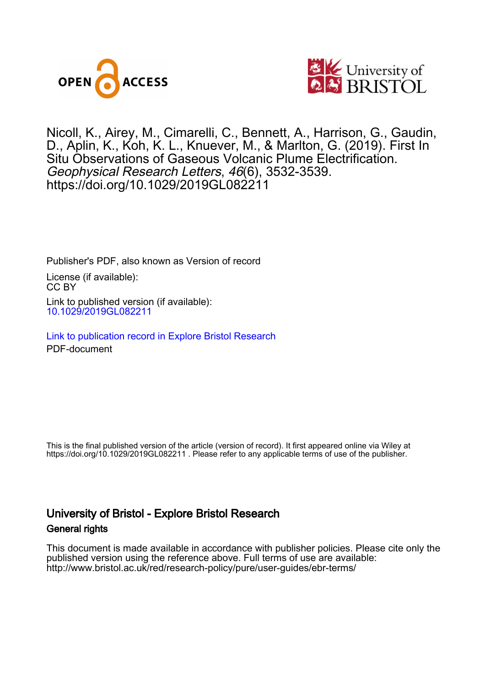



Nicoll, K., Airey, M., Cimarelli, C., Bennett, A., Harrison, G., Gaudin, D., Aplin, K., Koh, K. L., Knuever, M., & Marlton, G. (2019). First In Situ Observations of Gaseous Volcanic Plume Electrification. Geophysical Research Letters, 46(6), 3532-3539. <https://doi.org/10.1029/2019GL082211>

Publisher's PDF, also known as Version of record License (if available): CC BY Link to published version (if available): [10.1029/2019GL082211](https://doi.org/10.1029/2019GL082211)

[Link to publication record in Explore Bristol Research](https://research-information.bris.ac.uk/en/publications/c59eb08d-ed19-486e-8626-74e09ba2598a) PDF-document

This is the final published version of the article (version of record). It first appeared online via Wiley at https://doi.org/10.1029/2019GL082211 . Please refer to any applicable terms of use of the publisher.

# University of Bristol - Explore Bristol Research General rights

This document is made available in accordance with publisher policies. Please cite only the published version using the reference above. Full terms of use are available: http://www.bristol.ac.uk/red/research-policy/pure/user-guides/ebr-terms/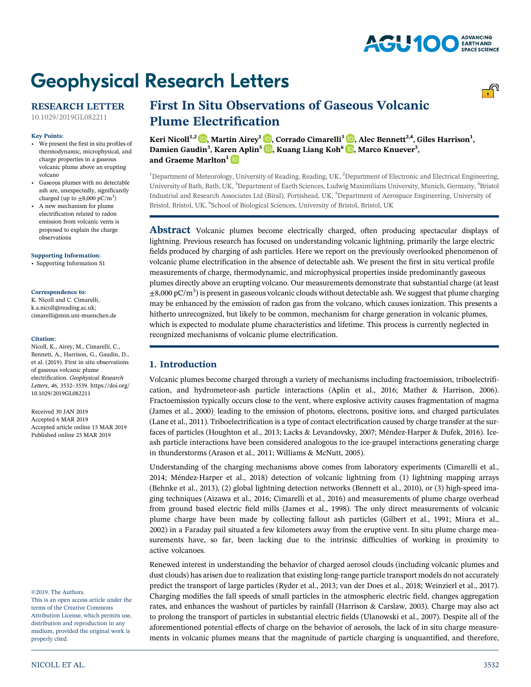# **Geophysical Research Letters**

## RESEARCH LETTER

[10.1029/2019GL082211](http://dx.doi.org/10.1029/2019GL082211)

#### Key Points:

- We present the first in situ profiles of thermodynamic, microphysical, and charge properties in a gaseous volcanic plume above an erupting volcano
- Gaseous plumes with no detectable ash are, unexpectedly, significantly charged (up to  $\pm 8,000$  pC/m<sup>3</sup>)
- • A new mechanism for plume electrification related to radon emission from volcanic vents is proposed to explain the charge observations

#### [Supporting Information:](http://dx.doi.org/10.1029/2019GL082211)

[•](http://dx.doi.org/10.1029/2019GL082211) [Supporting Information S1](http://dx.doi.org/10.1029/2019GL082211)

#### Correspondence to:

K. Nicoll and C. Cimarelli, [k.a.nicoll@reading.ac.uk](mailto:k.a.nicoll@reading.ac.uk); [cimarelli@min.uni](mailto:cimarelli@min.uni-muenchen.de)‐muenchen.de

#### Citation:

Nicoll, K., Airey, M., Cimarelli, C., Bennett, A., Harrison, G., Gaudin, D., et al. (2019). First in situ observations of gaseous volcanic plume electrification. Geophysical Research Letters, <sup>46</sup>, 3532–3539. [https://doi.org/](https://doi.org/10.1029/2019GL082211) [10.1029/2019GL082211](https://doi.org/10.1029/2019GL082211)

Received 30 JAN 2019 Accepted 6 MAR 2019 Accepted article online 15 MAR 2019 Published online 25 MAR 2019

#### ©2019. The Authors.

This is an open access article under the terms of the Creative Commons Attribution License, which permits use, distribution and reproduction in any medium, provided the original work is properly cited.

# First In Situ Observations of Gaseous Volcanic Plume Electrification

Keri Nicoll $^{1,2}$  $^{1,2}$  $^{1,2}$   $\text{\textcircled{\textcircled{\textcirc}}}$ , Martin Airey $^{1}$   $\text{\textcircled{\textcircled{\textcirc}}}$ , Corrado Cimarelli $^{3}$   $\text{\textcircled{\textcircled{\textcirc}}}$ , Alec Bennett $^{2,4}$ , Giles Harrison $^{1},$ Damien Gaudin<sup>3</sup>, Karen Aplin<sup>5</sup> D, Kuang Liang Koh<sup>6</sup> D, Marco Knuever<sup>3</sup>, and Graeme Marlton<sup>1</sup><sup>D</sup>

<sup>1</sup>Department of Meteorology, University of Reading, Reading, UK, <sup>2</sup>Department of Electronic and Electrical Engineering, University of Bath, Bath, UK, <sup>3</sup>Department of Earth Sciences, Ludwig Maximilians University, Munich, Germany, <sup>4</sup>Bristol Industrial and Research Associates Ltd (Biral), Portishead, UK, <sup>5</sup>Department of Aerospace Engineering, University of Bristol, Bristol, UK, <sup>6</sup>School of Biological Sciences, University of Bristol, Bristol, UK

Abstract Volcanic plumes become electrically charged, often producing spectacular displays of lightning. Previous research has focused on understanding volcanic lightning, primarily the large electric fields produced by charging of ash particles. Here we report on the previously overlooked phenomenon of volcanic plume electrification in the absence of detectable ash. We present the first in situ vertical profile measurements of charge, thermodynamic, and microphysical properties inside predominantly gaseous plumes directly above an erupting volcano. Our measurements demonstrate that substantial charge (at least  $\pm$ 8,000 pC/m<sup>3</sup>) is present in gaseous volcanic clouds without detectable ash. We suggest that plume charging may be enhanced by the emission of radon gas from the volcano, which causes ionization. This presents a hitherto unrecognized, but likely to be common, mechanism for charge generation in volcanic plumes, which is expected to modulate plume characteristics and lifetime. This process is currently neglected in recognized mechanisms of volcanic plume electrification.

## 1. Introduction

Volcanic plumes become charged through a variety of mechanisms including fractoemission, triboelectrification, and hydrometeor‐ash particle interactions (Aplin et al., 2016; Mather & Harrison, 2006). Fractoemission typically occurs close to the vent, where explosive activity causes fragmentation of magma (James et al., 2000), leading to the emission of photons, electrons, positive ions, and charged particulates (Lane et al., 2011). Triboelectrification is a type of contact electrification caused by charge transfer at the surfaces of particles (Houghton et al., 2013; Lacks & Levandovsky, 2007; Méndez-Harper & Dufek, 2016). Iceash particle interactions have been considered analogous to the ice‐graupel interactions generating charge in thunderstorms (Arason et al., 2011; Williams & McNutt, 2005).

Understanding of the charging mechanisms above comes from laboratory experiments (Cimarelli et al., 2014; Méndez‐Harper et al., 2018) detection of volcanic lightning from (1) lightning mapping arrays (Behnke et al., 2013), (2) global lightning detection networks (Bennett et al., 2010), or (3) high‐speed imaging techniques (Aizawa et al., 2016; Cimarelli et al., 2016) and measurements of plume charge overhead from ground based electric field mills (James et al., 1998). The only direct measurements of volcanic plume charge have been made by collecting fallout ash particles (Gilbert et al., 1991; Miura et al., 2002) in a Faraday pail situated a few kilometers away from the eruptive vent. In situ plume charge measurements have, so far, been lacking due to the intrinsic difficulties of working in proximity to active volcanoes.

Renewed interest in understanding the behavior of charged aerosol clouds (including volcanic plumes and dust clouds) has arisen due to realization that existing long-range particle transport models do not accurately predict the transport of large particles (Ryder et al., 2013; van der Does et al., 2018; Weinzierl et al., 2017). Charging modifies the fall speeds of small particles in the atmospheric electric field, changes aggregation rates, and enhances the washout of particles by rainfall (Harrison & Carslaw, 2003). Charge may also act to prolong the transport of particles in substantial electric fields (Ulanowski et al., 2007). Despite all of the aforementioned potential effects of charge on the behavior of aerosols, the lack of in situ charge measurements in volcanic plumes means that the magnitude of particle charging is unquantified, and therefore,

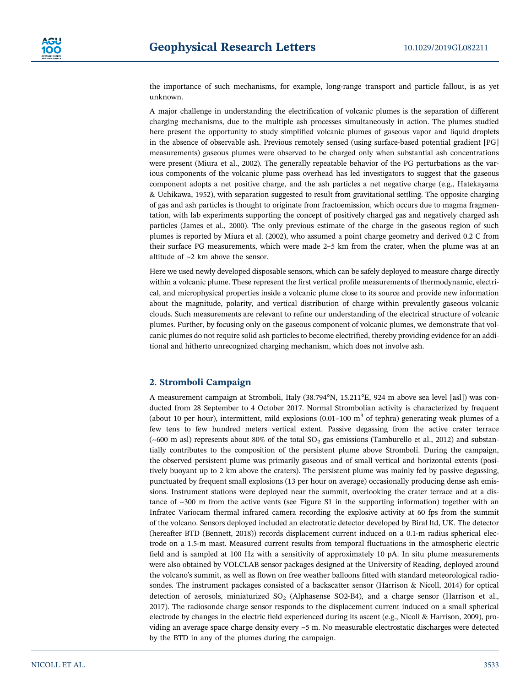the importance of such mechanisms, for example, long-range transport and particle fallout, is as yet unknown.

A major challenge in understanding the electrification of volcanic plumes is the separation of different charging mechanisms, due to the multiple ash processes simultaneously in action. The plumes studied here present the opportunity to study simplified volcanic plumes of gaseous vapor and liquid droplets in the absence of observable ash. Previous remotely sensed (using surface-based potential gradient [PG] measurements) gaseous plumes were observed to be charged only when substantial ash concentrations were present (Miura et al., 2002). The generally repeatable behavior of the PG perturbations as the various components of the volcanic plume pass overhead has led investigators to suggest that the gaseous component adopts a net positive charge, and the ash particles a net negative charge (e.g., Hatekayama & Uchikawa, 1952), with separation suggested to result from gravitational settling. The opposite charging of gas and ash particles is thought to originate from fractoemission, which occurs due to magma fragmentation, with lab experiments supporting the concept of positively charged gas and negatively charged ash particles (James et al., 2000). The only previous estimate of the charge in the gaseous region of such plumes is reported by Miura et al. (2002), who assumed a point charge geometry and derived 0.2 C from their surface PG measurements, which were made 2–5 km from the crater, when the plume was at an altitude of ~2 km above the sensor.

Here we used newly developed disposable sensors, which can be safely deployed to measure charge directly within a volcanic plume. These represent the first vertical profile measurements of thermodynamic, electrical, and microphysical properties inside a volcanic plume close to its source and provide new information about the magnitude, polarity, and vertical distribution of charge within prevalently gaseous volcanic clouds. Such measurements are relevant to refine our understanding of the electrical structure of volcanic plumes. Further, by focusing only on the gaseous component of volcanic plumes, we demonstrate that volcanic plumes do not require solid ash particles to become electrified, thereby providing evidence for an additional and hitherto unrecognized charging mechanism, which does not involve ash.

## 2. Stromboli Campaign

A measurement campaign at Stromboli, Italy (38.794°N, 15.211°E, 924 m above sea level [asl]) was conducted from 28 September to 4 October 2017. Normal Strombolian activity is characterized by frequent (about 10 per hour), intermittent, mild explosions  $(0.01-100 \text{ m}^3)$  of tephra) generating weak plumes of a few tens to few hundred meters vertical extent. Passive degassing from the active crater terrace (~600 m asl) represents about 80% of the total  $SO_2$  gas emissions (Tamburello et al., 2012) and substantially contributes to the composition of the persistent plume above Stromboli. During the campaign, the observed persistent plume was primarily gaseous and of small vertical and horizontal extents (positively buoyant up to 2 km above the craters). The persistent plume was mainly fed by passive degassing, punctuated by frequent small explosions (13 per hour on average) occasionally producing dense ash emissions. Instrument stations were deployed near the summit, overlooking the crater terrace and at a distance of  $\sim$ 300 m from the active vents (see Figure S1 in the supporting information) together with an Infratec Variocam thermal infrared camera recording the explosive activity at 60 fps from the summit of the volcano. Sensors deployed included an electrotatic detector developed by Biral ltd, UK. The detector (hereafter BTD (Bennett, 2018)) records displacement current induced on a 0.1‐m radius spherical electrode on a 1.5‐m mast. Measured current results from temporal fluctuations in the atmospheric electric field and is sampled at 100 Hz with a sensitivity of approximately 10 pA. In situ plume measurements were also obtained by VOLCLAB sensor packages designed at the University of Reading, deployed around the volcano's summit, as well as flown on free weather balloons fitted with standard meteorological radiosondes. The instrument packages consisted of a backscatter sensor (Harrison & Nicoll, 2014) for optical detection of aerosols, miniaturized SO<sub>2</sub> (Alphasense SO2-B4), and a charge sensor (Harrison et al., 2017). The radiosonde charge sensor responds to the displacement current induced on a small spherical electrode by changes in the electric field experienced during its ascent (e.g., Nicoll & Harrison, 2009), providing an average space charge density every ~5 m. No measurable electrostatic discharges were detected by the BTD in any of the plumes during the campaign.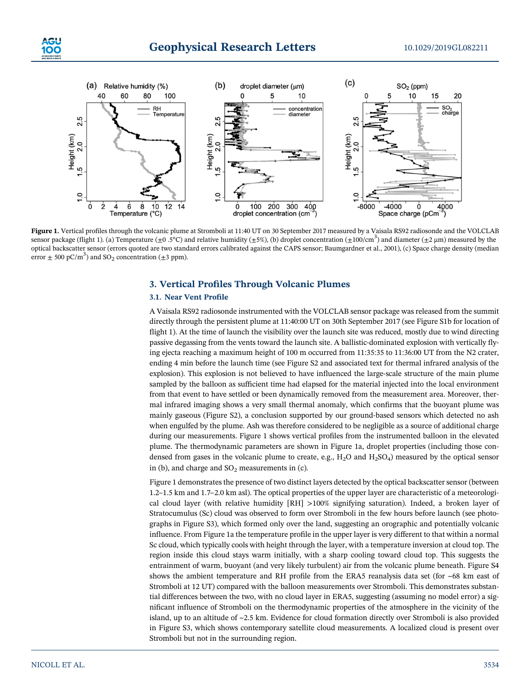



Figure 1. Vertical profiles through the volcanic plume at Stromboli at 11:40 UT on 30 September 2017 measured by a Vaisala RS92 radiosonde and the VOLCLAB sensor package (flight 1). (a) Temperature ( $\pm 0.5^{\circ}$ C) and relative humidity ( $\pm 5\%$ ), (b) droplet concentration ( $\pm 100/cm^3$ ) and diameter ( $\pm 2 \mu$ m) measured by the optical backscatter sensor (errors quoted are two standard errors calibrated against the CAPS sensor; Baumgardner et al., 2001), (c) Space charge density (median error  $\pm$  500 pC/m<sup>3</sup>) and SO<sub>2</sub> concentration ( $\pm$ 3 ppm).

## 3. Vertical Profiles Through Volcanic Plumes

#### 3.1. Near Vent Profile

A Vaisala RS92 radiosonde instrumented with the VOLCLAB sensor package was released from the summit directly through the persistent plume at 11:40:00 UT on 30th September 2017 (see Figure S1b for location of flight 1). At the time of launch the visibility over the launch site was reduced, mostly due to wind directing passive degassing from the vents toward the launch site. A ballistic‐dominated explosion with vertically flying ejecta reaching a maximum height of 100 m occurred from 11:35:35 to 11:36:00 UT from the N2 crater, ending 4 min before the launch time (see Figure S2 and associated text for thermal infrared analysis of the explosion). This explosion is not believed to have influenced the large-scale structure of the main plume sampled by the balloon as sufficient time had elapsed for the material injected into the local environment from that event to have settled or been dynamically removed from the measurement area. Moreover, thermal infrared imaging shows a very small thermal anomaly, which confirms that the buoyant plume was mainly gaseous (Figure S2), a conclusion supported by our ground-based sensors which detected no ash when engulfed by the plume. Ash was therefore considered to be negligible as a source of additional charge during our measurements. Figure 1 shows vertical profiles from the instrumented balloon in the elevated plume. The thermodynamic parameters are shown in Figure 1a, droplet properties (including those condensed from gases in the volcanic plume to create, e.g.,  $H_2O$  and  $H_2SO_4$ ) measured by the optical sensor in (b), and charge and  $SO<sub>2</sub>$  measurements in (c).

Figure 1 demonstrates the presence of two distinct layers detected by the optical backscatter sensor (between 1.2–1.5 km and 1.7–2.0 km asl). The optical properties of the upper layer are characteristic of a meteorological cloud layer (with relative humidity [RH] >100% signifying saturation). Indeed, a broken layer of Stratocumulus (Sc) cloud was observed to form over Stromboli in the few hours before launch (see photographs in Figure S3), which formed only over the land, suggesting an orographic and potentially volcanic influence. From Figure 1a the temperature profile in the upper layer is very different to that within a normal Sc cloud, which typically cools with height through the layer, with a temperature inversion at cloud top. The region inside this cloud stays warm initially, with a sharp cooling toward cloud top. This suggests the entrainment of warm, buoyant (and very likely turbulent) air from the volcanic plume beneath. Figure S4 shows the ambient temperature and RH profile from the ERA5 reanalysis data set (for ~68 km east of Stromboli at 12 UT) compared with the balloon measurements over Stromboli. This demonstrates substantial differences between the two, with no cloud layer in ERA5, suggesting (assuming no model error) a significant influence of Stromboli on the thermodynamic properties of the atmosphere in the vicinity of the island, up to an altitude of ~2.5 km. Evidence for cloud formation directly over Stromboli is also provided in Figure S3, which shows contemporary satellite cloud measurements. A localized cloud is present over Stromboli but not in the surrounding region.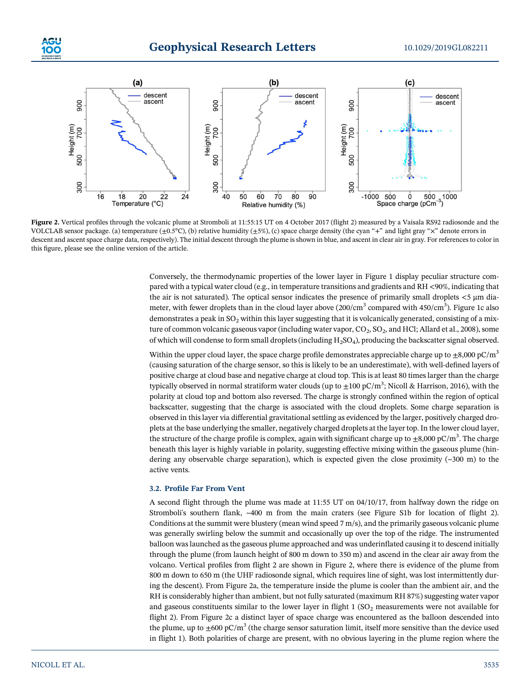



Figure 2. Vertical profiles through the volcanic plume at Stromboli at 11:55:15 UT on 4 October 2017 (flight 2) measured by a Vaisala RS92 radiosonde and the VOLCLAB sensor package. (a) temperature  $(\pm 0.5^{\circ}C)$ , (b) relative humidity  $(\pm 5\%)$ , (c) space charge density (the cyan "+" and light gray "x" denote errors in descent and ascent space charge data, respectively). The initial descent through the plume is shown in blue, and ascent in clear air in gray. For references to color in this figure, please see the online version of the article.

Conversely, the thermodynamic properties of the lower layer in Figure 1 display peculiar structure compared with a typical water cloud (e.g., in temperature transitions and gradients and RH <90%, indicating that the air is not saturated). The optical sensor indicates the presence of primarily small droplets <5 μm diameter, with fewer droplets than in the cloud layer above (200/cm $^3$  compared with 450/cm $^3$ ). Figure 1c also demonstrates a peak in SO<sub>2</sub> within this layer suggesting that it is volcanically generated, consisting of a mixture of common volcanic gaseous vapor (including water vapor,  $CO_2$ ,  $SO_2$ , and HCl; Allard et al., 2008), some of which will condense to form small droplets (including  $H_2SO_4$ ), producing the backscatter signal observed.

Within the upper cloud layer, the space charge profile demonstrates appreciable charge up to  $\pm 8,000 \text{ pC/m}^3$ (causing saturation of the charge sensor, so this is likely to be an underestimate), with well‐defined layers of positive charge at cloud base and negative charge at cloud top. This is at least 80 times larger than the charge typically observed in normal stratiform water clouds (up to  $\pm 100$  pC/m<sup>3</sup>; Nicoll & Harrison, 2016), with the polarity at cloud top and bottom also reversed. The charge is strongly confined within the region of optical backscatter, suggesting that the charge is associated with the cloud droplets. Some charge separation is observed in this layer via differential gravitational settling as evidenced by the larger, positively charged droplets at the base underlying the smaller, negatively charged droplets at the layer top. In the lower cloud layer, the structure of the charge profile is complex, again with significant charge up to  $\pm 8{,}000$  pC/m $^3$ . The charge beneath this layer is highly variable in polarity, suggesting effective mixing within the gaseous plume (hindering any observable charge separation), which is expected given the close proximity  $(\sim 300 \text{ m})$  to the active vents.

#### 3.2. Profile Far From Vent

A second flight through the plume was made at 11:55 UT on 04/10/17, from halfway down the ridge on Stromboli's southern flank, ~400 m from the main craters (see Figure S1b for location of flight 2). Conditions at the summit were blustery (mean wind speed 7 m/s), and the primarily gaseous volcanic plume was generally swirling below the summit and occasionally up over the top of the ridge. The instrumented balloon was launched as the gaseous plume approached and was underinflated causing it to descend initially through the plume (from launch height of 800 m down to 350 m) and ascend in the clear air away from the volcano. Vertical profiles from flight 2 are shown in Figure 2, where there is evidence of the plume from 800 m down to 650 m (the UHF radiosonde signal, which requires line of sight, was lost intermittently during the descent). From Figure 2a, the temperature inside the plume is cooler than the ambient air, and the RH is considerably higher than ambient, but not fully saturated (maximum RH 87%) suggesting water vapor and gaseous constituents similar to the lower layer in flight  $1$  (SO<sub>2</sub> measurements were not available for flight 2). From Figure 2c a distinct layer of space charge was encountered as the balloon descended into the plume, up to  $\pm 600 \text{ pC/m}^3$  (the charge sensor saturation limit, itself more sensitive than the device used in flight 1). Both polarities of charge are present, with no obvious layering in the plume region where the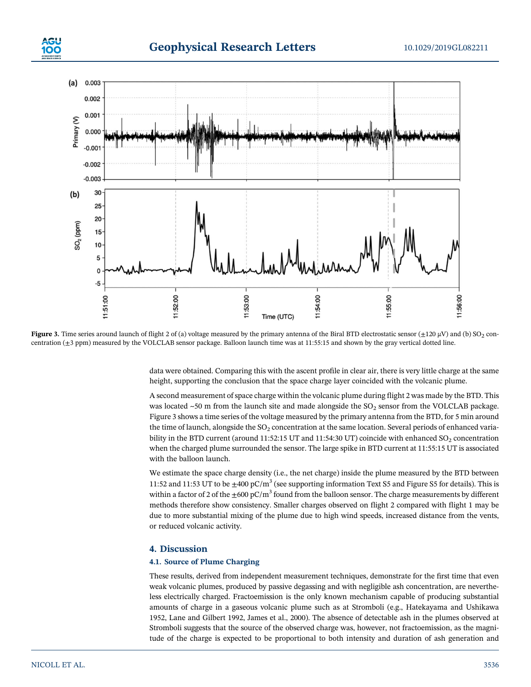



Figure 3. Time series around launch of flight 2 of (a) voltage measured by the primary antenna of the Biral BTD electrostatic sensor ( $\pm$ 120 µV) and (b) SO<sub>2</sub> concentration (±3 ppm) measured by the VOLCLAB sensor package. Balloon launch time was at 11:55:15 and shown by the gray vertical dotted line.

data were obtained. Comparing this with the ascent profile in clear air, there is very little charge at the same height, supporting the conclusion that the space charge layer coincided with the volcanic plume.

A second measurement of space charge within the volcanic plume during flight 2 was made by the BTD. This was located  $~50$  m from the launch site and made alongside the SO<sub>2</sub> sensor from the VOLCLAB package. Figure 3 shows a time series of the voltage measured by the primary antenna from the BTD, for 5 min around the time of launch, alongside the  $SO<sub>2</sub>$  concentration at the same location. Several periods of enhanced variability in the BTD current (around 11:52:15 UT and 11:54:30 UT) coincide with enhanced  $SO_2$  concentration when the charged plume surrounded the sensor. The large spike in BTD current at 11:55:15 UT is associated with the balloon launch.

We estimate the space charge density (i.e., the net charge) inside the plume measured by the BTD between 11:52 and 11:53 UT to be  $\pm 400 \text{ pC/m}^3$  (see supporting information Text S5 and Figure S5 for details). This is within a factor of 2 of the  $\pm 600 \text{ pC/m}^3$  found from the balloon sensor. The charge measurements by different methods therefore show consistency. Smaller charges observed on flight 2 compared with flight 1 may be due to more substantial mixing of the plume due to high wind speeds, increased distance from the vents, or reduced volcanic activity.

#### 4. Discussion

#### 4.1. Source of Plume Charging

These results, derived from independent measurement techniques, demonstrate for the first time that even weak volcanic plumes, produced by passive degassing and with negligible ash concentration, are nevertheless electrically charged. Fractoemission is the only known mechanism capable of producing substantial amounts of charge in a gaseous volcanic plume such as at Stromboli (e.g., Hatekayama and Ushikawa 1952, Lane and Gilbert 1992, James et al., 2000). The absence of detectable ash in the plumes observed at Stromboli suggests that the source of the observed charge was, however, not fractoemission, as the magnitude of the charge is expected to be proportional to both intensity and duration of ash generation and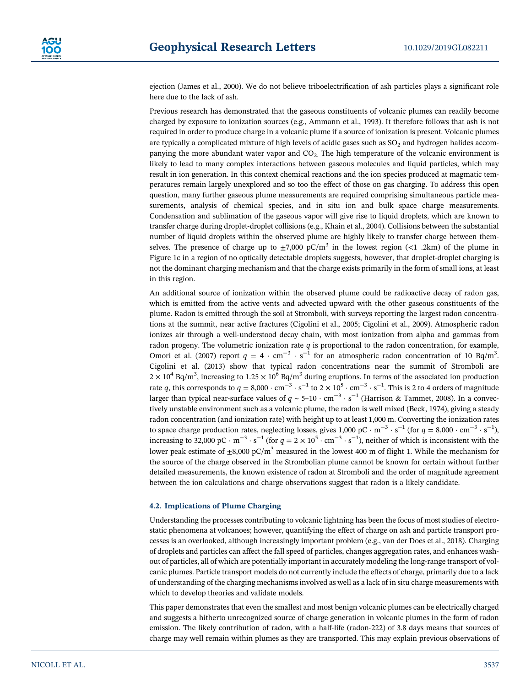ejection (James et al., 2000). We do not believe triboelectrification of ash particles plays a significant role here due to the lack of ash.

Previous research has demonstrated that the gaseous constituents of volcanic plumes can readily become charged by exposure to ionization sources (e.g., Ammann et al., 1993). It therefore follows that ash is not required in order to produce charge in a volcanic plume if a source of ionization is present. Volcanic plumes are typically a complicated mixture of high levels of acidic gases such as  $SO<sub>2</sub>$  and hydrogen halides accompanying the more abundant water vapor and  $CO<sub>2</sub>$ . The high temperature of the volcanic environment is likely to lead to many complex interactions between gaseous molecules and liquid particles, which may result in ion generation. In this context chemical reactions and the ion species produced at magmatic temperatures remain largely unexplored and so too the effect of those on gas charging. To address this open question, many further gaseous plume measurements are required comprising simultaneous particle measurements, analysis of chemical species, and in situ ion and bulk space charge measurements. Condensation and sublimation of the gaseous vapor will give rise to liquid droplets, which are known to transfer charge during droplet‐droplet collisions (e.g., Khain et al., 2004). Collisions between the substantial number of liquid droplets within the observed plume are highly likely to transfer charge between themselves. The presence of charge up to  $\pm$ 7,000 pC/m<sup>3</sup> in the lowest region (<1 .2km) of the plume in Figure 1c in a region of no optically detectable droplets suggests, however, that droplet-droplet charging is not the dominant charging mechanism and that the charge exists primarily in the form of small ions, at least in this region.

An additional source of ionization within the observed plume could be radioactive decay of radon gas, which is emitted from the active vents and advected upward with the other gaseous constituents of the plume. Radon is emitted through the soil at Stromboli, with surveys reporting the largest radon concentrations at the summit, near active fractures (Cigolini et al., 2005; Cigolini et al., 2009). Atmospheric radon ionizes air through a well‐understood decay chain, with most ionization from alpha and gammas from radon progeny. The volumetric ionization rate  $q$  is proportional to the radon concentration, for example, Omori et al. (2007) report  $q = 4 \cdot cm^{-3} \cdot s^{-1}$  for an atmospheric radon concentration of 10 Bq/m<sup>3</sup>. Cigolini et al. (2013) show that typical radon concentrations near the summit of Stromboli are  $2 \times 10^4$  Bq/m<sup>3</sup>, increasing to  $1.25 \times 10^6$  Bq/m<sup>3</sup> during eruptions. In terms of the associated ion production rate q, this corresponds to  $q = 8,000 \cdot cm^{-3} \cdot s^{-1}$  to  $2 \times 10^5 \cdot cm^{-3} \cdot s^{-1}$ . This is 2 to 4 orders of magnitude larger than typical near-surface values of  $q \sim 5-10 \cdot \text{cm}^{-3} \cdot \text{s}^{-1}$  (Harrison & Tammet, 2008). In a convectively unstable environment such as a volcanic plume, the radon is well mixed (Beck, 1974), giving a steady radon concentration (and ionization rate) with height up to at least 1,000 m. Converting the ionization rates to space charge production rates, neglecting losses, gives 1,000 pC  $\cdot$  m<sup>-3</sup>  $\cdot$  s<sup>-1</sup> (for  $q = 8,000 \cdot$  cm<sup>-3</sup>  $\cdot$  s<sup>-1</sup>), increasing to 32,000 pC  $\cdot$  m<sup>-3</sup>  $\cdot$  s<sup>-1</sup> (for  $q = 2 \times 10^5 \cdot$  cm<sup>-3</sup>  $\cdot$  s<sup>-1</sup>), neither of which is inconsistent with the lower peak estimate of  $\pm 8,000$  pC/m<sup>3</sup> measured in the lowest 400 m of flight 1. While the mechanism for the source of the charge observed in the Strombolian plume cannot be known for certain without further detailed measurements, the known existence of radon at Stromboli and the order of magnitude agreement between the ion calculations and charge observations suggest that radon is a likely candidate.

#### 4.2. Implications of Plume Charging

Understanding the processes contributing to volcanic lightning has been the focus of most studies of electrostatic phenomena at volcanoes; however, quantifying the effect of charge on ash and particle transport processes is an overlooked, although increasingly important problem (e.g., van der Does et al., 2018). Charging of droplets and particles can affect the fall speed of particles, changes aggregation rates, and enhances washout of particles, all of which are potentially important in accurately modeling the long‐range transport of volcanic plumes. Particle transport models do not currently include the effects of charge, primarily due to a lack of understanding of the charging mechanisms involved as well as a lack of in situ charge measurements with which to develop theories and validate models.

This paper demonstrates that even the smallest and most benign volcanic plumes can be electrically charged and suggests a hitherto unrecognized source of charge generation in volcanic plumes in the form of radon emission. The likely contribution of radon, with a half-life (radon-222) of 3.8 days means that sources of charge may well remain within plumes as they are transported. This may explain previous observations of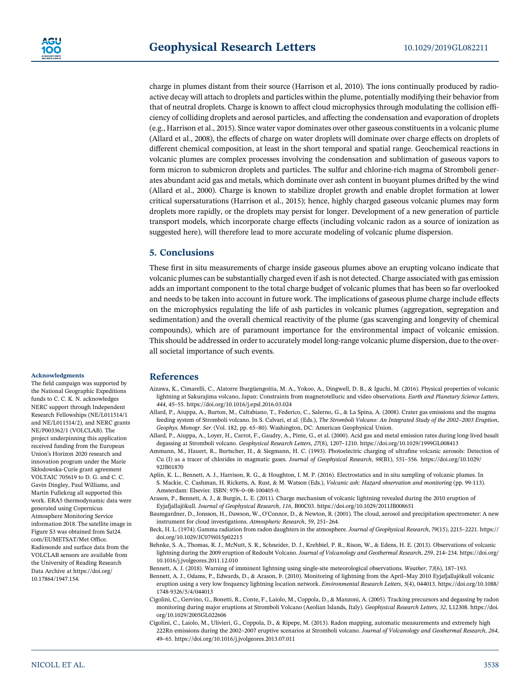charge in plumes distant from their source (Harrison et al, 2010). The ions continually produced by radioactive decay will attach to droplets and particles within the plume, potentially modifying their behavior from that of neutral droplets. Charge is known to affect cloud microphysics through modulating the collision efficiency of colliding droplets and aerosol particles, and affecting the condensation and evaporation of droplets (e.g., Harrison et al., 2015). Since water vapor dominates over other gaseous constituents in a volcanic plume (Allard et al., 2008), the effects of charge on water droplets will dominate over charge effects on droplets of different chemical composition, at least in the short temporal and spatial range. Geochemical reactions in volcanic plumes are complex processes involving the condensation and sublimation of gaseous vapors to form micron to submicron droplets and particles. The sulfur and chlorine-rich magma of Stromboli generates abundant acid gas and metals, which dominate over ash content in buoyant plumes drifted by the wind (Allard et al., 2000). Charge is known to stabilize droplet growth and enable droplet formation at lower critical supersaturations (Harrison et al., 2015); hence, highly charged gaseous volcanic plumes may form droplets more rapidly, or the droplets may persist for longer. Development of a new generation of particle transport models, which incorporate charge effects (including volcanic radon as a source of ionization as suggested here), will therefore lead to more accurate modeling of volcanic plume dispersion.

### 5. Conclusions

These first in situ measurements of charge inside gaseous plumes above an erupting volcano indicate that volcanic plumes can be substantially charged even if ash is not detected. Charge associated with gas emission adds an important component to the total charge budget of volcanic plumes that has been so far overlooked and needs to be taken into account in future work. The implications of gaseous plume charge include effects on the microphysics regulating the life of ash particles in volcanic plumes (aggregation, segregation and sedimentation) and the overall chemical reactivity of the plume (gas scavenging and longevity of chemical compounds), which are of paramount importance for the environmental impact of volcanic emission. This should be addressed in order to accurately model long-range volcanic plume dispersion, due to the overall societal importance of such events.

#### Acknowledgments

The field campaign was supported by the National Geographic Expeditions funds to C. C. K. N. acknowledges NERC support through Independent Research Fellowships (NE/L011514/1 and NE/L011514/2), and NERC grants NE/P003362/1 (VOLCLAB). The project underpinning this application received funding from the European Union's Horizon 2020 research and innovation program under the Marie Skłodowska‐Curie grant agreement VOLTAIC 705619 to D. G. and C. C. Gavin Dingley, Paul Williams, and Martin Fullekrug all supported this work. ERA5 thermodynamic data were generated using Copernicus Atmosphere Monitoring Service information 2018. The satellite image in Figure S3 was obtained from Sat24. com/EUMETSAT/Met Office. Radiosonde and surface data from the VOLCLAB sensors are available from the University of Reading Research Data Archive at [https://doi.org/](https://doi.org/10.17864/1947.154) [10.17864/1947.154](https://doi.org/10.17864/1947.154).

## References

- Aizawa, K., Cimarelli, C., Alatorre Ibargüengoitia, M. A., Yokoo, A., Dingwell, D. B., & Iguchi, M. (2016). Physical properties of volcanic lightning at Sakurajima volcano, Japan: Constraints from magnetotelluric and video observations. Earth and Planetary Science Letters, <sup>444</sup>, 45–55.<https://doi.org/10.1016/j.epsl.2016.03.024>
- Allard, P., Aiuppa, A., Burton, M., Caltabiano, T., Federico, C., Salerno, G., & La Spina, A. (2008). Crater gas emissions and the magma feeding system of Stromboli volcano. In S. Calvari, et al. (Eds.), The Stromboli Volcano: An Integrated Study of the 2002–2003 Eruption, Geophys. Monogr. Ser. (Vol. 182, pp. 65–80). Washington, DC: American Geophysical Union.
- Allard, P., Aiuppa, A., Loyer, H., Carrot, F., Gaudry, A., Pinte, G., et al. (2000). Acid gas and metal emission rates during long‐lived basalt degassing at Stromboli volcano. Geophysical Research Letters, 27(8), 1207-1210.<https://doi.org/10.1029/1999GL008413>
- Ammann, M., Hauert, R., Burtscher, H., & Siegmann, H. C. (1993). Photoelectric charging of ultrafine volcanic aerosols: Detection of Cu (I) as a tracer of chlorides in magmatic gases. Journal of Geophysical Research, <sup>98</sup>(B1), 551–556. [https://doi.org/10.1029/](https://doi.org/10.1029/92JB01870) [92JB01870](https://doi.org/10.1029/92JB01870)
- Aplin, K. L., Bennett, A. J., Harrison, R. G., & Houghton, I. M. P. (2016). Electrostatics and in situ sampling of volcanic plumes. In S. Mackie, C. Cashman, H. Ricketts, A. Rust, & M. Watson (Eds.), Volcanic ash: Hazard observation and monitoring (pp. 99-113). Amsterdam: Elsevier. ISBN: 978–0–08‐[100405](https://doi.org/info:x-wiley/isbn/9780081004050)‐0.
- Arason, P., Bennett, A. J., & Burgin, L. E. (2011). Charge mechanism of volcanic lightning revealed during the 2010 eruption of Eyjafjallajökull. Journal of Geophysical Research, 116, B00C03.<https://doi.org/10.1029/2011JB008651>
- Baumgardner, D., Jonsson, H., Dawson, W., O'Connor, D., & Newton, R. (2001). The cloud, aerosol and precipitation spectrometer: A new instrument for cloud investigations. Atmospheric Research, <sup>59</sup>, 251–264.
- Beck, H. L. (1974). Gamma radiation from radon daughters in the atmosphere. Journal of Geophysical Research, <sup>79</sup>(15), 2215–2221. [https://](https://doi.org/10.1029/JC079i015p02215) [doi.org/10.1029/JC079i015p02215](https://doi.org/10.1029/JC079i015p02215)
- Behnke, S. A., Thomas, R. J., McNutt, S. R., Schneider, D. J., Krehbiel, P. R., Rison, W., & Edens, H. E. (2013). Observations of volcanic lightning during the 2009 eruption of Redoubt Volcano. Journal of Volcanology and Geothermal Research, <sup>259</sup>, 214–234. [https://doi.org/](https://doi.org/10.1016/j.jvolgeores.2011.12.010) [10.1016/j.jvolgeores.2011.12.010](https://doi.org/10.1016/j.jvolgeores.2011.12.010)
- Bennett, A. J. (2018). Warning of imminent lightning using single‐site meteorological observations. Weather, <sup>73</sup>(6), 187–193.
- Bennett, A. J., Odams, P., Edwards, D., & Arason, Þ. (2010). Monitoring of lightning from the April–May 2010 Eyjafjallajökull volcanic eruption using a very low frequency lightning location network. Environmental Research Letters, 5(4), 044013. [https://doi.org/10.1088/](https://doi.org/10.1088/1748-9326/5/4/044013) <sup>1748</sup>‐[9326/5/4/044013](https://doi.org/10.1088/1748-9326/5/4/044013)
- Cigolini, C., Gervino, G., Bonetti, R., Conte, F., Laiolo, M., Coppola, D., & Manzoni, A. (2005). Tracking precursors and degassing by radon monitoring during major eruptions at Stromboli Volcano (Aeolian Islands, Italy). Geophysical Research Letters, 32, L12308. [https://doi.](https://doi.org/10.1029/2005GL022606) [org/10.1029/2005GL022606](https://doi.org/10.1029/2005GL022606)
- Cigolini, C., Laiolo, M., Ulivieri, G., Coppola, D., & Ripepe, M. (2013). Radon mapping, automatic measurements and extremely high 222Rn emissions during the 2002–2007 eruptive scenarios at Stromboli volcano. Journal of Volcanology and Geothermal Research, <sup>264</sup>, <sup>49</sup>–65.<https://doi.org/10.1016/j.jvolgeores.2013.07.011>